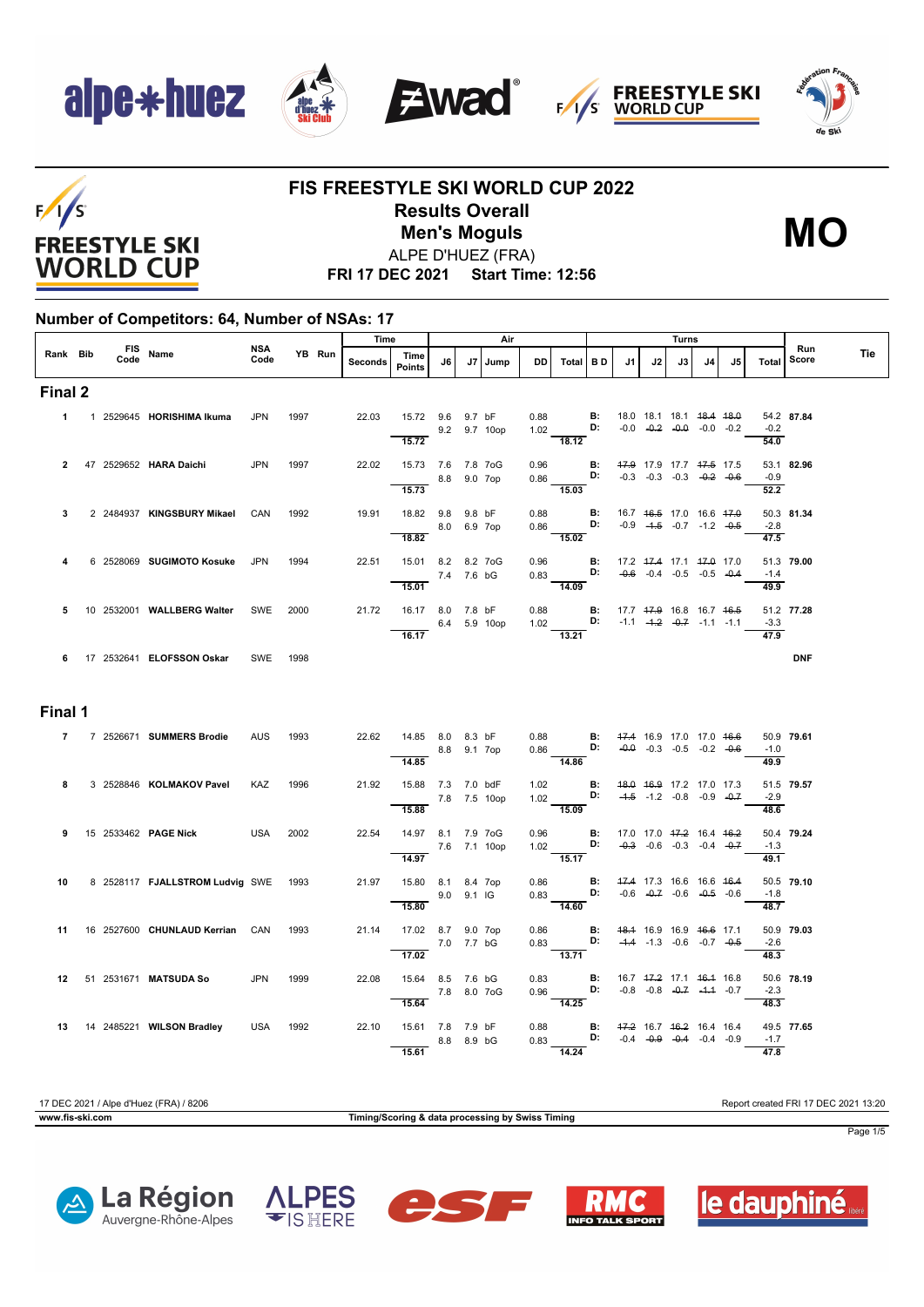









#### **FIS FREESTYLE SKI WORLD CUP 2022 Results Overall** ALPE D'HUEZ (FRA) **Men's Moguls MO**



**FRI 17 DEC 2021 Start Time: 12:56**

#### **Number of Competitors: 64, Number of NSAs: 17**

|          |  |                                      |                    |        | Time    |                                                   |            | Air          |           |                                                                                                               |                                     |    | Turns                                                          |    |    |                            |              |     |
|----------|--|--------------------------------------|--------------------|--------|---------|---------------------------------------------------|------------|--------------|-----------|---------------------------------------------------------------------------------------------------------------|-------------------------------------|----|----------------------------------------------------------------|----|----|----------------------------|--------------|-----|
| Rank Bib |  | FIS Name                             | <b>NSA</b><br>Code | YB Run | Seconds | Time<br>Points                                    | J6         | J7 Jump      | <b>DD</b> | Total   BD                                                                                                    | J1                                  | J2 | J3                                                             | J4 | J5 | Total                      | Run<br>Score | Tie |
| Final 2  |  |                                      |                    |        |         |                                                   |            |              |           |                                                                                                               |                                     |    |                                                                |    |    |                            |              |     |
|          |  | 1 1 2529645 HORISHIMA Ikuma          | <b>JPN</b>         | 1997   | 22.03   | 15.72 9.6 9.7 bF                                  |            | 9.2 9.7 10op |           | 0.88 <b>B:</b><br>1.02 <b>D:</b>                                                                              | 18.0 18.1 18.1 <del>18.4 18.0</del> |    | $-0.0$ $-0.2$ $-0.0$ $-0.0$ $-0.2$                             |    |    | $-0.2$                     | 54.2 87.84   |     |
|          |  | 47 2529652 HARA Daichi               | <b>JPN</b>         | 1997   | 22.02   | 15.72<br>15.73 7.6 7.8 7oG<br>8.8 9.0 7op         |            |              |           | 18.12<br>0.96 <b>B</b> : 47.9 17.9 17.7 47.5 17.5<br>0.86 <b>B:</b> -0.3 -0.3 -0.3 -0. <del>2</del> -0.6      |                                     |    |                                                                |    |    | 54.0<br>$-0.9$             | 53.1 82.96   |     |
|          |  |                                      |                    |        |         | 15.73                                             |            |              |           | $\overline{15.03}$                                                                                            |                                     |    |                                                                |    |    | 52.2                       |              |     |
| 3        |  | 2 2484937 KINGSBURY Mikael           | CAN                | 1992   | 19.91   | 18.82 9.8 9.8 bF<br>18.82                         |            | 8.0 6.9 7op  |           | 0.88 <b>B:</b><br>0.86 <b>D:</b><br>15.02                                                                     |                                     |    | 16.7 46.5 17.0 16.6 47.0<br>$-0.9$ $-4.5$ $-0.7$ $-1.2$ $-0.5$ |    |    | $-2.8$<br>47.5             | 50.3 81.34   |     |
| 4        |  | 6 2528069 SUGIMOTO Kosuke            | <b>JPN</b>         | 1994   | 22.51   | 15.01 8.2 8.2 7oG<br>7.4 7.6 bG<br>15.01          |            |              |           | 0.96 <b>B:</b> 17.2 47.4 17.1 47.0 17.0<br>0.83 <b>D:</b> -0.6 -0.4 -0.5 -0.5 -0.4<br>14.09                   |                                     |    |                                                                |    |    | $-1.4$<br>49.9             | 51.3 79.00   |     |
| 5        |  | 10 2532001 WALLBERG Walter           | SWE                | 2000   | 21.72   | 16.17 8.0 7.8 bF<br>16.17                         |            | 6.4 5.9 10op |           | 0.88 <b>B:</b> 17.7 47.9 16.8 16.7 46.5<br>1.02 <b>D:</b> -1.1 -1.2 -0.7 -1.1 -1.1<br>$\frac{13.21}{2}$       |                                     |    |                                                                |    |    | $-3.3$<br>$\frac{1}{47.9}$ | 51.2 77.28   |     |
|          |  | 6 17 2532641 ELOFSSON Oskar          | SWE 1998           |        |         |                                                   |            |              |           |                                                                                                               |                                     |    |                                                                |    |    |                            | <b>DNF</b>   |     |
| Final 1  |  |                                      |                    |        |         |                                                   |            |              |           |                                                                                                               |                                     |    |                                                                |    |    |                            |              |     |
|          |  | 7 7 2526671 SUMMERS Brodie           | <b>AUS</b>         | 1993   |         | 22.62  14.85  8.0  8.3 bF<br>8.8 9.1 7op<br>14.85 |            |              |           | 0.88 <b>B:</b> $17.4$ 16.9 17.0 17.0 $16.6$<br>0.86 <b>D:</b> $-0.9$ -0.3 -0.5 -0.2 -0.6<br>$\frac{1}{14.86}$ |                                     |    |                                                                |    |    | $-1.0$<br>49.9             | 50.9 79.61   |     |
| 8        |  | 3 2528846 KOLMAKOV Pavel             | KAZ                | 1996   | 21.92   | 15.88 7.3 7.0 bdF<br>7.8 7.5 10op<br>15.88        |            |              |           | 1.02 <b>B:</b><br>1.02 <b>D:</b><br>$\frac{1}{15.09}$                                                         | 48.0 46.9 17.2 17.0 17.3            |    | $-4.5$ $-1.2$ $-0.8$ $-0.9$ $-0.7$                             |    |    | $-2.9$<br>48.6             | 51.5 79.57   |     |
| 9        |  | 15 2533462 <b>PAGE Nick</b>          | <b>USA</b>         | 2002   |         | 22.54  14.97  8.1  7.9  7 oG<br>7.6 7.1 10op      |            |              |           | 0.96 <b>B</b> : 17.0 17.0 <del>17.2</del> 16.4 <del>16.2</del><br>1.02 <b>D:</b> -0.3 -0.6 -0.3 -0.4 -0.7     |                                     |    |                                                                |    |    | $-1.3$                     | 50.4 79.24   |     |
| 10       |  | 8 2528117 FJALLSTROM Ludvig SWE 1993 |                    |        | 21.97   | $\overline{14.97}$<br>15.80 8.1 8.4 7op<br>15.80  | 9.0 9.1 IG |              |           | $-15.17$<br>$0.86$ <b>B:</b><br>$0.83$ <b>D:</b><br>14.60                                                     |                                     |    | 47.4 17.3 16.6 16.6 46.4<br>$-0.6$ $-0.7$ $-0.6$ $-0.5$ $-0.6$ |    |    | 49.1<br>$-1.8$<br>48.7     | 50.5 79.10   |     |
| 11       |  | 16 2527600 CHUNLAUD Kerrian CAN      |                    | 1993   |         | 21.14 17.02 8.7 9.0 7op<br>7.0 7.7 bG             |            |              | 0.86      | $0.83$ <b>D</b> :                                                                                             | <b>B:</b> 48.4 16.9 16.9 46.6 17.1  |    | $-4.4$ $-1.3$ $-0.6$ $-0.7$ $-0.5$                             |    |    | $-2.6$                     | 50.9 79.03   |     |
|          |  | 12 51 2531671 MATSUDA So             | <b>JPN</b>         | 1999   | 22.08   | 17.02<br>15.64 8.5 7.6 bG                         |            |              |           | 13.71                                                                                                         |                                     |    | 16.7 47.2 17.1 46.4 16.8                                       |    |    | 48.3                       | 50.6 78.19   |     |
|          |  |                                      |                    |        |         | 7.8 8.0 7oG<br>15.64                              |            |              |           | 0.83 <b>B:</b><br>0.96 <b>D:</b><br>14.25                                                                     |                                     |    | $-0.8$ $-0.8$ $-0.7$ $-4.4$ $-0.7$                             |    |    | $-2.3$<br>48.3             |              |     |
|          |  | 13 14 2485221 WILSON Bradley         | USA 1992           |        | 22.10   | 15.61 7.8 7.9 bF<br>15.61                         | 8.8 8.9 bG |              | 0.88      | $0.83$ D:<br>14.24                                                                                            | <b>B:</b> 47.2 16.7 46.2 16.4 16.4  |    | $-0.4$ $-0.9$ $-0.4$ $-0.4$ $-0.9$                             |    |    | $-1.7$<br>$\frac{47.8}{ }$ | 49.5 77.65   |     |

17 DEC 2021 / Alpe d'Huez (FRA) / 8206 Report created FRI 17 DEC 2021 13:20 **www.fis-ski.com Timing/Scoring & data processing by Swiss Timing**











Page 1/5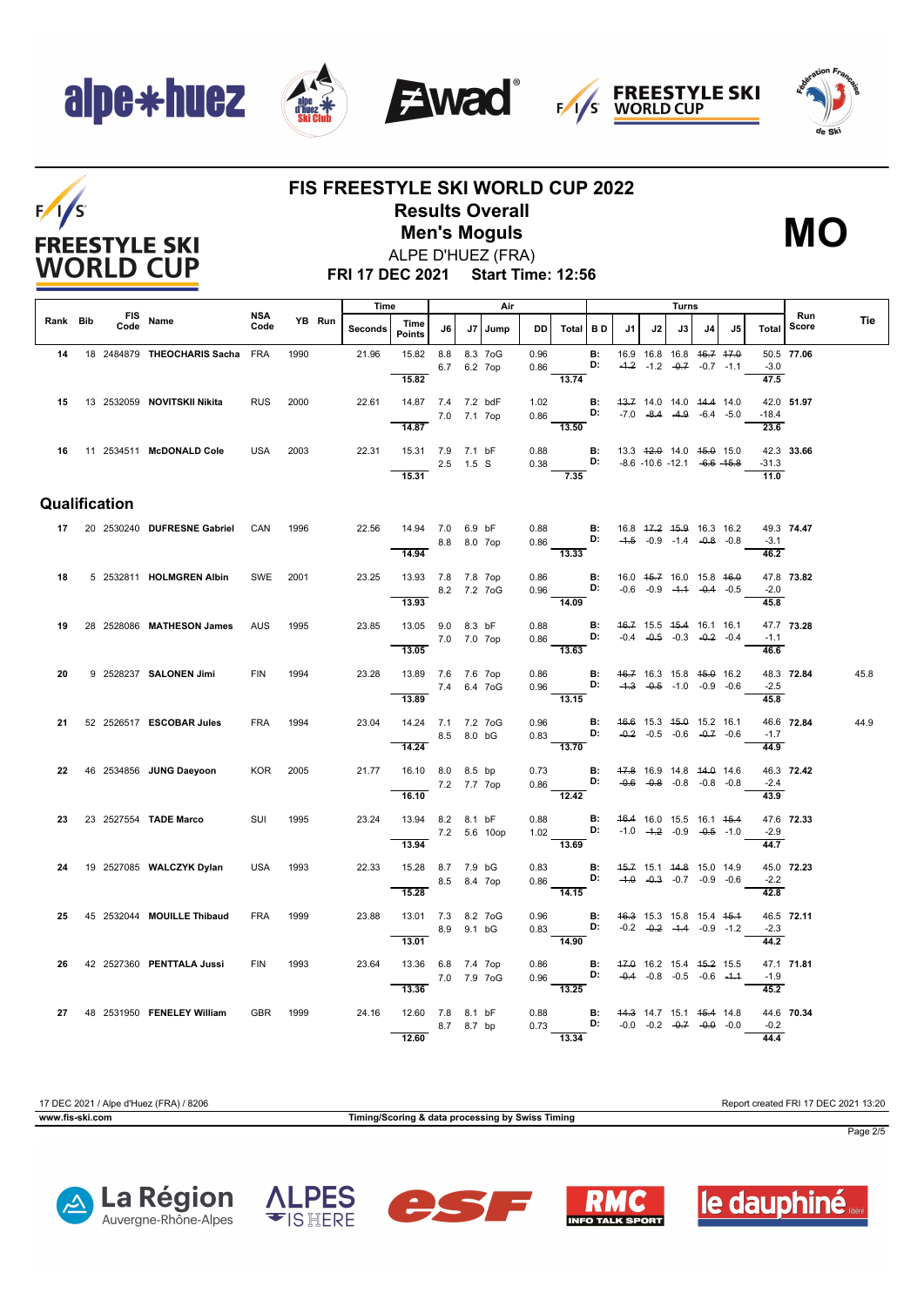







### $F/1/S$ **FREESTYLE SKI WORLD CUP**

#### **FIS FREESTYLE SKI WORLD CUP 2022 Results Overall Men's Moguls MO**

ALPE D'HUEZ (FRA)



**FRI 17 DEC 2021 Start Time: 12:56**

|          |                    |                                 | <b>NSA</b> |      |        | Time    |                                   |             |             | Air     |      |                                                                                                                          |                 |                                                          |                                                                | Turns |    |    |                              | Run        |      |
|----------|--------------------|---------------------------------|------------|------|--------|---------|-----------------------------------|-------------|-------------|---------|------|--------------------------------------------------------------------------------------------------------------------------|-----------------|----------------------------------------------------------|----------------------------------------------------------------|-------|----|----|------------------------------|------------|------|
| Rank Bib | <b>FIS</b><br>Code | Name                            | Code       |      | YB Run | Seconds | Time<br>Points                    | J6 I        |             | J7 Jump |      | DD   Total   B D                                                                                                         |                 | J1                                                       | J2                                                             | J3 I  | J4 | J5 | <b>Total</b>                 | Score      | Tie  |
| 14       |                    | 18 2484879 THEOCHARIS Sacha FRA |            | 1990 |        | 21.96   | 15.82  8.8  8.3  7oG              |             |             |         | 0.96 |                                                                                                                          | <b>B:</b><br>D: |                                                          | 16.9 16.8 16.8 46.7 47.0<br>$-4.2$ $-1.2$ $-0.7$ $-0.7$ $-1.1$ |       |    |    | $-3.0$                       | 50.5 77.06 |      |
|          |                    |                                 |            |      |        |         | 15.82                             |             | 6.7 6.2 7op |         | 0.86 | $-13.74$                                                                                                                 |                 |                                                          |                                                                |       |    |    | 47.5                         |            |      |
| 15       |                    | 13 2532059 NOVITSKII Nikita     | <b>RUS</b> | 2000 |        | 22.61   | 14.87 7.4 7.2 bdF                 |             |             |         | 1.02 |                                                                                                                          |                 | <b>B:</b> 43.7 14.0 14.0 44.4 14.0                       |                                                                |       |    |    |                              | 42.0 51.97 |      |
|          |                    |                                 |            |      |        |         | 14.87                             | 7.0 7.1 7op |             |         |      | 0.86 <b>D:</b> -7.0 -8.4 -4.9 -6.4 -5.0<br>$\overline{13.50}$                                                            |                 |                                                          |                                                                |       |    |    | $-18.4$<br>$\overline{23.6}$ |            |      |
|          |                    |                                 |            |      |        |         |                                   |             |             |         |      |                                                                                                                          |                 |                                                          |                                                                |       |    |    |                              |            |      |
|          |                    | 16 11 2534511 McDONALD Cole     | USA        | 2003 |        |         | 22.31  15.31  7.9  7.1 bF         | 2.5 1.5 S   |             |         |      | 0.88 <b>B</b> : 13.3 <del>12.0</del> 14.0 <del>15.0</del> 15.0<br>0.38 <b>D:</b> -8.6 -10.6 -12.1 - <del>6.6</del> -15.8 |                 |                                                          |                                                                |       |    |    | $-31.3$                      | 42.3 33.66 |      |
|          |                    |                                 |            |      |        |         | 15.31                             |             |             |         |      | $\frac{1}{7.35}$                                                                                                         |                 |                                                          |                                                                |       |    |    | 11.0                         |            |      |
|          | Qualification      |                                 |            |      |        |         |                                   |             |             |         |      |                                                                                                                          |                 |                                                          |                                                                |       |    |    |                              |            |      |
|          |                    | 17 20 2530240 DUFRESNE Gabriel  | CAN        | 1996 |        | 22.56   | 14.94 7.0 6.9 bF                  |             |             |         |      |                                                                                                                          |                 |                                                          |                                                                |       |    |    |                              | 49.3 74.47 |      |
|          |                    |                                 |            |      |        |         | 14.94                             |             | 8.8 8.0 7op |         |      | 0.88 <b>B</b> : 16.8 17.2 15.9 16.3 16.2<br>0.86 <b>B:</b> -1.5 -0.9 -1.4 -0.8 -0.8<br>$\frac{0.006}{13.33}$             |                 |                                                          |                                                                |       |    |    | $-3.1$<br>$\frac{1}{46.2}$   |            |      |
|          |                    |                                 |            |      |        |         |                                   |             |             |         |      |                                                                                                                          |                 |                                                          |                                                                |       |    |    |                              |            |      |
| 18       |                    | 5 2532811 HOLMGREN Albin        | SWE        | 2001 |        | 23.25   | 13.93 7.8 7.8 7op<br>8.2 7.2 7oG  |             |             |         | 0.86 | $0.96$ D: $-0.6$ $-0.9$ $-4.4$ $-0.4$ $-0.5$                                                                             |                 | <b>B:</b> 16.0 <del>15.7</del> 16.0 15.8 <del>16.0</del> |                                                                |       |    |    | $-2.0$                       | 47.8 73.82 |      |
|          |                    |                                 |            |      |        |         | 13.93                             |             |             |         |      | $\frac{1}{14.09}$                                                                                                        |                 |                                                          |                                                                |       |    |    | 45.8                         |            |      |
| 19       |                    | 28 2528086 MATHESON James       | <b>AUS</b> | 1995 |        | 23.85   | 13.05 9.0 8.3 bF                  |             |             |         |      | 0.88 <b>B:</b> $46.7$ 15.5 $45.4$ 16.1 16.1<br>0.86 <b>D:</b> -0.4 -0.5 -0.3 -0.2 -0.4                                   |                 |                                                          |                                                                |       |    |    | $-1.1$                       | 47.7 73.28 |      |
|          |                    |                                 |            |      |        |         | 13.05                             | 7.0 7.0 7op |             |         |      | 13.63                                                                                                                    |                 |                                                          |                                                                |       |    |    | 46.6                         |            |      |
| 20       |                    | 9 2528237 SALONEN Jimi          | <b>FIN</b> | 1994 |        | 23.28   | 13.89 7.6 7.6 7op                 |             |             |         |      |                                                                                                                          |                 |                                                          |                                                                |       |    |    |                              | 48.3 72.84 | 45.8 |
|          |                    |                                 |            |      |        |         | $- 7.4 6.4 70G$<br>13.89          |             |             |         |      | 0.86 <b>B:</b> 4 <del>6.7</del> 16.3 15.8 45.0 16.2<br>0.96 <b>D:</b> -4.3 -0.5 -1.0 -0.9 -0.6<br>13.15                  |                 |                                                          |                                                                |       |    |    | $-2.5$<br>45.8               |            |      |
|          |                    |                                 |            |      |        | 23.04   |                                   |             |             |         |      |                                                                                                                          |                 |                                                          |                                                                |       |    |    |                              | 46.6 72.84 |      |
| 21       |                    | 52 2526517 <b>ESCOBAR Jules</b> | <b>FRA</b> | 1994 |        |         | 14.24 7.1 7.2 7 o G<br>8.5 8.0 bG |             |             |         |      | 0.96 <b>B:</b> 46.6 15.3 45.0 15.2 16.1<br>0.83 <b>D:</b> $-0.2$ 0.5 0.6 1                                               |                 |                                                          |                                                                |       |    |    | $-1.7$                       |            | 44.9 |
|          |                    |                                 |            |      |        |         | 14.24                             |             |             |         |      | 13.70                                                                                                                    |                 |                                                          |                                                                |       |    |    | 44.9                         |            |      |
| 22       |                    | 46 2534856 JUNG Daeyoon         | <b>KOR</b> | 2005 |        | 21.77   | 16.10 8.0 8.5 bp                  |             |             |         | 0.73 | 0.86 <b>D:</b> $-4.6$ 10.9 14.8 $+4.9$ 14.6<br>0.86 <b>D:</b> $-0.6$ $-0.8$ $-0.8$ $-0.8$ $-0.8$                         |                 | <b>B:</b> 47.8 16.9 14.8 44.0 14.6                       |                                                                |       |    |    | $-2.4$                       | 46.3 72.42 |      |
|          |                    |                                 |            |      |        |         | 7.2 7.7 7op<br>16.10              |             |             |         |      | $\frac{1}{12.42}$                                                                                                        |                 |                                                          |                                                                |       |    |    | $\frac{1}{43.9}$             |            |      |
| 23       |                    | 23 2527554 TADE Marco           | SUI        | 1995 |        | 23.24   | 13.94 8.2 8.1 bF                  |             |             |         | 0.88 |                                                                                                                          | <b>B:</b>       |                                                          | 46.4 16.0 15.5 16.1 45.4                                       |       |    |    |                              | 47.6 72.33 |      |
|          |                    |                                 |            |      |        |         | 7.2 5.6 10op<br>13.94             |             |             |         |      | 1.02 <b>D:</b> -1.0 -1.2 -0.9 -0.5 -1.0<br>$\overline{13.69}$                                                            |                 |                                                          |                                                                |       |    |    | $-2.9$<br>44.7               |            |      |
| 24       |                    | 19 2527085 WALCZYK Dylan        | <b>USA</b> | 1993 |        | 22.33   | 15.28 8.7 7.9 bG                  |             |             |         | 0.83 |                                                                                                                          |                 | <b>B:</b> 45.7 15.1 44.8 15.0 14.9                       |                                                                |       |    |    |                              | 45.0 72.23 |      |
|          |                    |                                 |            |      |        |         | $8.5$ 8.4 7op                     |             |             |         |      | $0.86$ D: $-4.0$ $-0.3$ $-0.7$ $-0.9$ $-0.6$                                                                             |                 |                                                          |                                                                |       |    |    | $-2.2$                       |            |      |
|          |                    |                                 |            |      |        |         | 15.28                             |             |             |         |      | $-14.15$                                                                                                                 |                 |                                                          |                                                                |       |    |    | $\frac{1}{42.8}$             |            |      |
| 25       |                    | 45 2532044 MOUILLE Thibaud      | <b>FRA</b> | 1999 |        | 23.88   | 13.01 7.3 8.2 7oG<br>8.9 9.1 bG   |             |             |         |      | 0.96 <b>B:</b> 46.3 15.3 15.8 15.4 45.4<br>0.83 <b>D:</b> $-0.2$ $-0.2$ $-4.4$ $-0.9$ $-1.2$                             |                 |                                                          |                                                                |       |    |    | $-2.3$                       | 46.5 72.11 |      |
|          |                    |                                 |            |      |        |         | 13.01                             |             |             |         |      | $-14.90$                                                                                                                 |                 |                                                          |                                                                |       |    |    | 44.2                         |            |      |
| 26       |                    | 42 2527360 PENTTALA Jussi       | <b>FIN</b> | 1993 |        | 23.64   | 13.36 6.8 7.4 7op                 |             |             |         |      | 0.86 <b>B:</b> 47.0 16.2 15.4 45.2 15.5<br>0.96 <b>D:</b> -0.4 -0.8 -0.5 -0.6 -4.4                                       |                 |                                                          |                                                                |       |    |    |                              | 47.1 71.81 |      |
|          |                    |                                 |            |      |        |         | 7.0 7.9 7 og<br>13.36             |             |             |         |      | $-13.25$                                                                                                                 |                 |                                                          |                                                                |       |    |    | $-1.9$<br>45.2               |            |      |
|          |                    | 27 48 2531950 FENELEY William   | <b>GBR</b> | 1999 |        | 24.16   | 12.60 7.8 8.1 bF                  |             |             |         |      |                                                                                                                          |                 |                                                          |                                                                |       |    |    |                              | 44.6 70.34 |      |
|          |                    |                                 |            |      |        |         |                                   |             | 8.7 8.7 bp  |         |      | 0.88 <b>B:</b> 44.3 14.7 15.1 45.4 14.8<br>0.73 <b>D:</b> -0.0 -0.2 -0.7 -0.0 -0.0                                       |                 |                                                          |                                                                |       |    |    | $-0.2$                       |            |      |
|          |                    |                                 |            |      |        |         | 12.60                             |             |             |         |      | $\overline{13.34}$                                                                                                       |                 |                                                          |                                                                |       |    |    | 44.4                         |            |      |

17 DEC 2021 / Alpe d'Huez (FRA) / 8206 Report created FRI 17 DEC 2021 13:20

**www.fis-ski.com Timing/Scoring & data processing by Swiss Timing**

Page 2/5









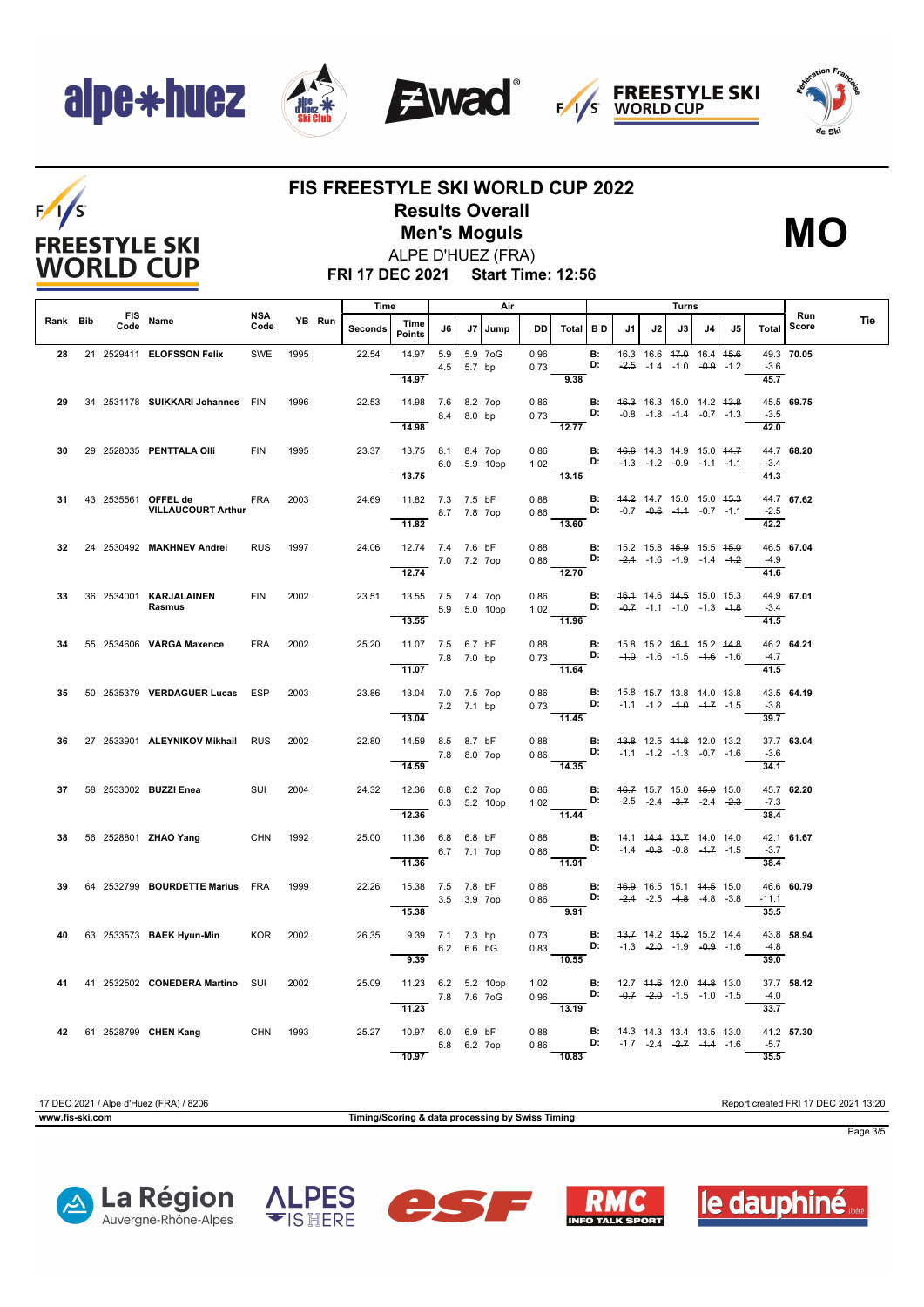$F/1/S$ 

**FREESTYLE SKI WORLD CUP** 









#### **FIS FREESTYLE SKI WORLD CUP 2022 Results Overall Men's Moguls MO**

ALPE D'HUEZ (FRA)



**FRI 17 DEC 2021 Start Time: 12:56**

|          |      |                                                      |                    |      |        | Time    |                                             |                               |    | Air          |              |                                                                                                                                                   |                 |                                                            |    | Turns                                                          |    |    |                                     |              |     |
|----------|------|------------------------------------------------------|--------------------|------|--------|---------|---------------------------------------------|-------------------------------|----|--------------|--------------|---------------------------------------------------------------------------------------------------------------------------------------------------|-----------------|------------------------------------------------------------|----|----------------------------------------------------------------|----|----|-------------------------------------|--------------|-----|
| Rank Bib | Code | FIS Name                                             | <b>NSA</b><br>Code |      | YB Run | Seconds | Time<br><b>Points</b>                       | J6                            | J7 | Jump         | DD I         | Total BD                                                                                                                                          |                 | J1                                                         | J2 | J3 I                                                           | J4 | J5 | Total                               | Run<br>Score | Tie |
| 28       |      | 21 2529411 ELOFSSON Felix                            | SWE                | 1995 |        | 22.54   | 14.97 5.9<br>14.97                          | 4.5 5.7 bp                    |    | 5.9 7oG      | 0.96<br>0.73 | 9.38                                                                                                                                              | <b>B:</b><br>D: |                                                            |    | 16.3 16.6 47.0 16.4 45.6<br>$-2.5$ $-1.4$ $-1.0$ $-0.9$ $-1.2$ |    |    | $-3.6$<br>45.7                      | 49.3 70.05   |     |
| 29       |      | 34 2531178 SUIKKARI Johannes FIN                     |                    | 1996 |        | 22.53   | 14.98 7.6 8.2 7op<br>8.4 8.0 bp<br>14.98    |                               |    |              |              | 0.86 <b>B</b> : 46.3 16.3 15.0 14.2 43.8<br>0.73 <b>D:</b> -0.8 -4.8 -1.4 -0.7 -1.3<br>12.77                                                      |                 |                                                            |    |                                                                |    |    | $-3.5$<br>42.0                      | 45.5 69.75   |     |
| 30       |      | 29 2528035 PENTTALA OIIi                             | <b>FIN</b>         | 1995 |        | 23.37   | 13.75 8.1 8.4 7op<br>13.75                  |                               |    | 6.0 5.9 10op | 0.86         | 1.02 <b>D:</b>                                                                                                                                    |                 | <b>B:</b> 46.6 14.8 14.9 15.0 44.7                         |    | $-4.3$ $-1.2$ $-0.9$ $-1.1$ $-1.1$                             |    |    | $-3.4$<br>$\overline{41.3}$         | 44.7 68.20   |     |
| 31       |      | 43 2535561 OFFEL de FRA<br><b>VILLAUCOURT Arthur</b> |                    | 2003 |        | 24.69   | 11.82 7.3 7.5 bF<br>8.7 7.8 7op             |                               |    |              | 0.88         | 13.15<br>$0.86$ D: $-0.7$ $-0.6$ $-1.4$ $-0.7$ $-1.1$<br>$\overline{13.60}$                                                                       |                 | <b>B:</b> 44.2 14.7 15.0 15.0 45.3                         |    |                                                                |    |    | $-2.5$<br>$\frac{1}{42.2}$          | 44.7 67.62   |     |
| 32       |      | 24 2530492 MAKHNEV Andrei                            | <b>RUS</b>         | 1997 |        | 24.06   | 12.74 7.4 7.6 bF<br>12.74                   | 7.0 7.2 7op                   |    |              | 0.88         | 0.86 <b>D:</b> $-2.1$ -1.6 -1.9 -1.4 -1.2<br>$\frac{1}{12.70}$                                                                                    |                 | <b>B:</b> 15.2 15.8 4 <del>5.9</del> 15.5 4 <del>5.0</del> |    |                                                                |    |    | $-4.9$<br>$\frac{41.6}{ }$          | 46.5 67.04   |     |
| 33       |      | 36 2534001 KARJALAINEN<br>Rasmus                     | FIN                | 2002 |        | 23.51   | 13.55 7.5 7.4 7op<br>13.55                  |                               |    | 5.9 5.0 10op |              | 0.86 <b>B:</b> 46.4 14.6 44.5 15.0 15.3<br>1.02 <b>D:</b> $\frac{0.7}{0.7}$ -1.1 -1.0 -1.3 -4.8<br>11.96                                          |                 |                                                            |    |                                                                |    |    | $-3.4$<br>$\overline{41.5}$         | 44.9 67.01   |     |
| 34       |      | 55 2534606 VARGA Maxence                             | <b>FRA</b>         | 2002 |        | 25.20   | 11.07 7.5 6.7 bF<br>7.8 7.0 bp<br>11.07     |                               |    |              | 0.88         | 11.64                                                                                                                                             |                 | <b>B:</b> 15.8 15.2 <del>16.1</del> 15.2 <del>14.8</del>   |    |                                                                |    |    | $-4.7$                              | 46.2 64.21   |     |
| 35       |      | 50 2535379 VERDAGUER Lucas ESP                       |                    | 2003 |        | 23.86   | 13.04 7.0 7.5 7op<br>7.2 7.1 bp<br>13.04    |                               |    |              |              | 0.86 <b>B</b> : 45.8 15.7 13.8 14.0 43.8<br>0.73 <b>D:</b> -1.1 -1.2 -1.0 1.7 1.5<br>$\overline{11.45}$                                           |                 |                                                            |    |                                                                |    |    | 41.5<br>$-3.8$<br>$\overline{39.7}$ | 43.5 64.19   |     |
| 36       |      | 27 2533901 ALEYNIKOV Mikhail RUS                     |                    | 2002 |        | 22.80   | 14.59 8.5 8.7 bF<br>7.8 8.0 7op             |                               |    |              | 0.88         | 0.86 <b>D:</b> $-1.1$ $-1.2$ $-1.3$ $-0.7$ $-1.6$                                                                                                 |                 | <b>B:</b> 43.8 12.5 44.8 12.0 13.2                         |    |                                                                |    |    | $-3.6$                              | 37.7 63.04   |     |
| 37       |      | 58 2533002 BUZZI Enea                                | SUI                | 2004 |        | 24.32   | 14.59<br>12.36 6.8 6.2 7op<br>12.36         |                               |    | 6.3 5.2 10op |              | $\frac{1}{14.35}$<br>0.86 <b>B:</b> $46.7$ 15.7 15.0 $45.0$ 15.0<br>1.02 <b>D:</b> $-2.5$ $-2.4$ $-3.7$ $-2.4$ $-2.3$                             |                 |                                                            |    |                                                                |    |    | 34.1<br>$-7.3$<br>38.4              | 45.7 62.20   |     |
| 38       |      | 56 2528801 <b>ZHAO Yang</b>                          | <b>CHN</b>         | 1992 |        | 25.00   | 11.36 6.8 6.8 bF<br>11.36                   | 6.7 7.1 7op                   |    |              | 0.86         | 11.44<br>0.88 <b>B:</b> 14.1 $\frac{44.4}{9.8}$ $\frac{43.7}{1.4}$ 14.0 14.0<br>0.86 <b>D:</b> -1.4 $\frac{44.4}{9.8}$ -0.8 -1.7 -1.5<br>$-11.91$ |                 |                                                            |    |                                                                |    |    | $-3.7$<br>38.4                      | 42.1 61.67   |     |
| 39       |      | 64 2532799 BOURDETTE Marius FRA                      |                    | 1999 |        | 22.26   | 15.38 7.5 7.8 bF<br>3.5 3.9 7op<br>15.38    |                               |    |              | 0.88<br>0.86 | <b>D:</b> $-2.4$ $-2.5$ $-4.8$ $-4.8$ $-3.8$<br>9.91                                                                                              |                 | <b>B:</b> 46.9 16.5 15.1 44.5 15.0                         |    |                                                                |    |    | $-11.1$<br>35.5                     | 46.6 60.79   |     |
| 40       |      | 63 2533573 BAEK Hyun-Min                             | <b>KOR</b>         | 2002 |        | 26.35   | $\overline{9.39}$                           | 9.39 7.1 7.3 bp<br>6.2 6.6 bG |    |              | 0.73<br>0.83 | D:<br>$\overline{10.55}$                                                                                                                          |                 | <b>B:</b> 43.7 14.2 45.2 15.2 14.4                         |    | $-1.3$ $-2.0$ $-1.9$ $-0.9$ $-1.6$                             |    |    | $-4.8$<br>39.0                      | 43.8 58.94   |     |
| 41       |      | 41 2532502 CONEDERA Martino SUI                      |                    | 2002 |        | 25.09   | 11.23 6.2 5.2 10op<br>7.8 7.6 7 og<br>11.23 |                               |    |              | 1.02         | 0.96 <b>D:</b> $-0.7$ $-2.0$ $-1.5$ $-1.0$ $-1.5$<br>$\frac{1}{13.19}$                                                                            |                 | <b>B:</b> 12.7 44.6 12.0 44.8 13.0                         |    |                                                                |    |    | $-4.0$<br>33.7                      | 37.7 58.12   |     |
|          |      | 42 61 2528799 CHEN Kang CHN 1993                     |                    |      |        | 25.27   | 10.97 6.0 6.9 bF<br>10.97                   | 5.8 6.2 7op                   |    |              | 0.88<br>0.86 | $\overline{\mathbf{D}}$ : -1.7 -2.4 - <del>2.7</del> -1.4 -1.6<br>10.83                                                                           |                 | <b>B:</b> 44.3 14.3 13.4 13.5 43.0                         |    |                                                                |    |    | $-5.7$<br>35.5                      | 41.2 57.30   |     |

**www.fis-ski.com Timing/Scoring & data processing by Swiss Timing**

17 DEC 2021 / Alpe d'Huez (FRA) / 8206 Report created FRI 17 DEC 2021 13:20

Page 3/5









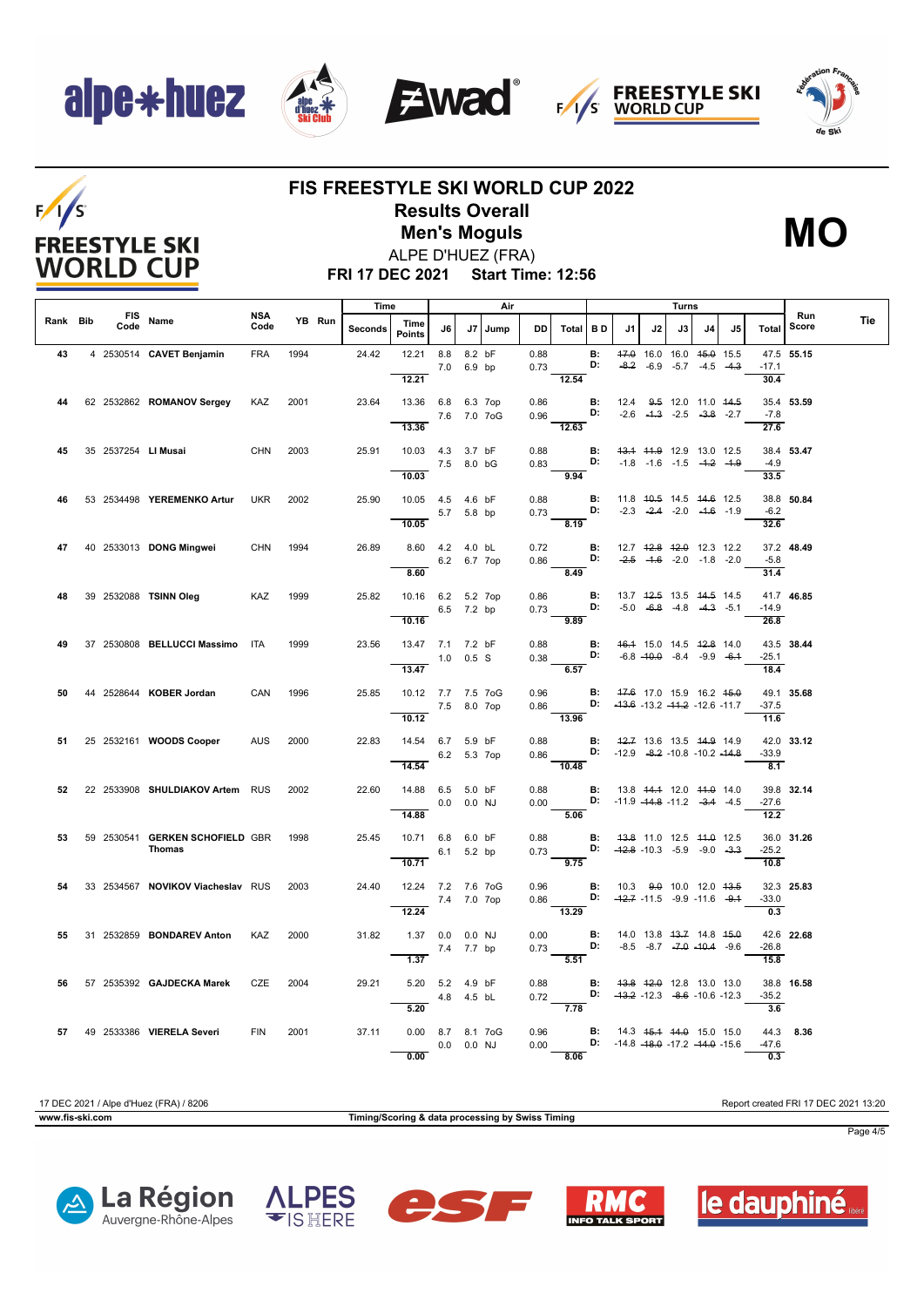









### **FIS FREESTYLE SKI WORLD CUP 2022 Results Overall**

ALPE D'HUEZ (FRA) **Men's Moguls MO**



**FRI 17 DEC 2021 Start Time: 12:56**

|          |      |                                           |             |      |        | Time    |                                            |                |                  | Air  |              |                                                                                              |                 |                                                                                              |                                                                | Turns |    |    |                              |              |     |
|----------|------|-------------------------------------------|-------------|------|--------|---------|--------------------------------------------|----------------|------------------|------|--------------|----------------------------------------------------------------------------------------------|-----------------|----------------------------------------------------------------------------------------------|----------------------------------------------------------------|-------|----|----|------------------------------|--------------|-----|
| Rank Bib | Code | FIS Name                                  | NSA<br>Code |      | YB Run | Seconds | Time<br><b>Points</b>                      | J6             | J7               | Jump | DD I         | Total BD                                                                                     |                 | J1                                                                                           | J2                                                             | J3 I  | J4 | J5 | Total                        | Run<br>Score | Tie |
| 43       |      | 4 2530514 CAVET Benjamin                  | <b>FRA</b>  | 1994 |        | 24.42   | 12.21<br>12.21                             | 8.8<br>7.0     | 8.2 bF<br>6.9 bp |      | 0.88<br>0.73 | 12.54                                                                                        | <b>B:</b><br>D: |                                                                                              | 47.0 16.0 16.0 45.0 15.5<br>$-8.2$ $-6.9$ $-5.7$ $-4.5$ $-4.3$ |       |    |    | $-17.1$<br>30.4              | 47.5 55.15   |     |
| 44       |      | 62 2532862 ROMANOV Sergey                 | KAZ         | 2001 |        | 23.64   | 13.36 6.8 6.3 7op<br>13.36                 | 7.6 7.0 7oG    |                  |      | 0.86         | 0.96 <b>D</b> : $-2.6$ $-4.3$ $-2.5$ $-3.8$ $-2.7$<br>$\frac{12.63}{ }$                      |                 | <b>B:</b> 12.4 9.5 12.0 11.0 44.5                                                            |                                                                |       |    |    | -7.8                         | 35.4 53.59   |     |
| 45       |      | 35 2537254 LI Musai                       | CHN 2003    |      |        | 25.91   | 10.03  4.3  3.7 bF                         | 7.5 8.0 bG     |                  |      | 0.88<br>0.83 |                                                                                              | B:<br>D:        | 43.4 44.9 12.9 13.0 12.5                                                                     | $-1.8$ $-1.6$ $-1.5$ $-4.2$ $-4.9$                             |       |    |    | 27.6<br>$-4.9$               | 38.4 53.47   |     |
| 46       |      | 53 2534498 YEREMENKO Artur                | <b>UKR</b>  | 2002 |        | 25.90   | 10.03<br>10.05  4.5  4.6 bF                |                |                  |      | 0.88         | 9.94                                                                                         | B:              | 11.8 40.5 14.5 44.6 12.5                                                                     |                                                                |       |    |    | 33.5                         | 38.8 50.84   |     |
|          |      |                                           |             |      |        |         | 10.05                                      | 5.7 5.8 bp     |                  |      |              | $0.73$ D:<br>8.19                                                                            |                 |                                                                                              | $-2.3$ $-2.4$ $-2.0$ $-4.6$ $-1.9$                             |       |    |    | $-6.2$<br>32.6               |              |     |
| 47       |      | 40 2533013 DONG Mingwei                   | CHN         | 1994 |        | 26.89   | 8.60  4.2  4.0 bL<br>8.60                  | 6.2 6.7 7op    |                  |      | 0.72<br>0.86 | D:<br>8.49                                                                                   | <b>B:</b>       | 12.7 <del>12.8</del> <del>12.0</del> 12.3 12.2                                               | $-2.5$ $-1.6$ $-2.0$ $-1.8$ $-2.0$                             |       |    |    | -5.8<br>$\overline{31.4}$    | 37.2 48.49   |     |
| 48       |      | 39 2532088 TSINN Oleg                     | KAZ         | 1999 |        | 25.82   | 10.16 6.2 5.2 7op<br>10.16                 | 6.5 7.2 bp     |                  |      | 0.86<br>0.73 | B:<br>D:<br>9.89                                                                             |                 | 13.7 42.5 13.5 44.5 14.5                                                                     | $-5.0$ $-6.8$ $-4.8$ $-4.3$ $-5.1$                             |       |    |    | $-14.9$<br>26.8              | 41.7 46.85   |     |
| 49       |      | 37 2530808 BELLUCCI Massimo ITA           |             | 1999 |        | 23.56   | 13.47 7.1 7.2 bF<br>$1.0$ 0.5 S            |                |                  |      | 0.88<br>0.38 | <b>D:</b> $-6.8 - 10.0 - 8.4 - 9.9 - 6.1$                                                    |                 | <b>B:</b> 46.4 15.0 14.5 42.8 14.0                                                           |                                                                |       |    |    | $-25.1$                      | 43.5 38.44   |     |
| 50       |      | 44 2528644 KOBER Jordan                   | CAN         | 1996 |        | 25.85   | 13.47<br>10.12 7.7 7.5 7oG                 |                |                  |      | 0.96         | 6.57                                                                                         |                 | <b>B:</b> 47.6 17.0 15.9 16.2 4 <del>5.0</del>                                               |                                                                |       |    |    | 18.4                         | 49.1 35.68   |     |
|          |      |                                           |             |      |        |         | 10.12                                      | 7.5 8.0 7op    |                  |      | 0.86         | $D: 43.6 - 13.2 - 11.2 - 12.6 - 11.7$<br>$\overline{13.96}$                                  |                 |                                                                                              |                                                                |       |    |    | $-37.5$<br>$\overline{11.6}$ |              |     |
| 51       |      | 25 2532161 WOODS Cooper                   | <b>AUS</b>  | 2000 |        | 22.83   | 14.54 6.7 5.9 bF<br>$6.2$ 5.3 7op<br>14.54 |                |                  |      | 0.88<br>0.86 | <b>D:</b> $-12.9$ $-8.2$ $-10.8$ $-10.2$ $-14.8$<br>$\frac{1}{10.48}$                        |                 | <b>B:</b> $\frac{42.7}{13.6}$ 13.5 $\frac{44.9}{14.9}$ 14.9                                  |                                                                |       |    |    | $-33.9$<br>$\overline{8.1}$  | 42.0 33.12   |     |
| 52       |      | 22 2533908 SHULDIAKOV Artem RUS           |             | 2002 |        | 22.60   | 14.88 6.5 5.0 bF<br>14.88                  | $0.0$ $0.0$ NJ |                  |      | 0.88         | 0.00 D: -11.9 -14.8 -11.2 -3.4 -4.5<br>5.06                                                  |                 | <b>B:</b> 13.8 44.4 12.0 44.0 14.0                                                           |                                                                |       |    |    | $-27.6$<br>12.2              | 39.8 32.14   |     |
| 53       |      | 59 2530541 GERKEN SCHOFIELD GBR<br>Thomas |             | 1998 |        | 25.45   | 10.71 6.8 6.0 bF<br>10.71                  | 6.1 5.2 bp     |                  |      | 0.73         | 0.88 <b>B:</b> 43.8 11.0 12.5 44.0 12.5<br>0.73 <b>D:</b> -42.8 -10.3 -5.9 -9.0 -3.3<br>9.75 |                 |                                                                                              |                                                                |       |    |    | $-25.2$<br>10.8              | 36.0 31.26   |     |
| 54       |      | 33 2534567 NOVIKOV Viacheslav RUS         |             | 2003 |        | 24.40   | 12.24 7.2 7.6 7oG<br>12.24                 | 7.4 7.0 7op    |                  |      | 0.96<br>0.86 | <b>D:</b> $-42.7$ $-11.5$ $-9.9$ $-11.6$ $-9.4$<br>13.29                                     |                 | <b>B:</b> 10.3 9.0 10.0 12.0 43.5                                                            |                                                                |       |    |    | $-33.0$<br>0.3               | 32.3 25.83   |     |
| 55       |      | 31 2532859 <b>BONDAREV Anton</b>          | KAZ         | 2000 |        | 31.82   | 1.37  0.0  0.0  NJ<br>1.37                 | 7.4 7.7 bp     |                  |      | 0.00<br>0.73 | $\overline{5.51}$                                                                            | <b>B:</b><br>D: | 14.0 13.8 <del>13.7</del> 14.8 <del>15.0</del>                                               | $-8.5$ $-8.7$ $-7.0$ $-10.4$ $-9.6$                            |       |    |    | $-26.8$<br>15.8              | 42.6 22.68   |     |
| 56       |      | 57 2535392 GAJDECKA Marek                 | CZE         | 2004 |        | 29.21   | 5.20 5.2 4.9 bF<br>$\overline{5.20}$       | $4.8$ 4.5 bL   |                  |      | 0.88<br>0.72 | <b>D:</b> $-43.2$ $-12.3$ $-8.6$ $-10.6$ $-12.3$<br>7.78                                     |                 | <b>B:</b> 43.8 42.0 12.8 13.0 13.0                                                           |                                                                |       |    |    | $-35.2$<br>$\overline{3.6}$  | 38.8 16.58   |     |
|          |      | 57 49 2533386 VIERELA Severi              | FIN         | 2001 |        | 37.11   | 0.00 8.7 8.1 7oG<br>0.00                   | $0.0$ $0.0$ NJ |                  |      | 0.96<br>0.00 | 8.06                                                                                         |                 | <b>B:</b> 14.3 4 <del>5.1</del> 44.0 15.0 15.0<br>D: $-14.8$ $-18.0$ $-17.2$ $-14.0$ $-15.6$ |                                                                |       |    |    | $-47.6$<br>0.3               | 44.3 8.36    |     |

17 DEC 2021 / Alpe d'Huez (FRA) / 8206 Report created FRI 17 DEC 2021 13:20

**www.fis-ski.com Timing/Scoring & data processing by Swiss Timing**

Page 4/5